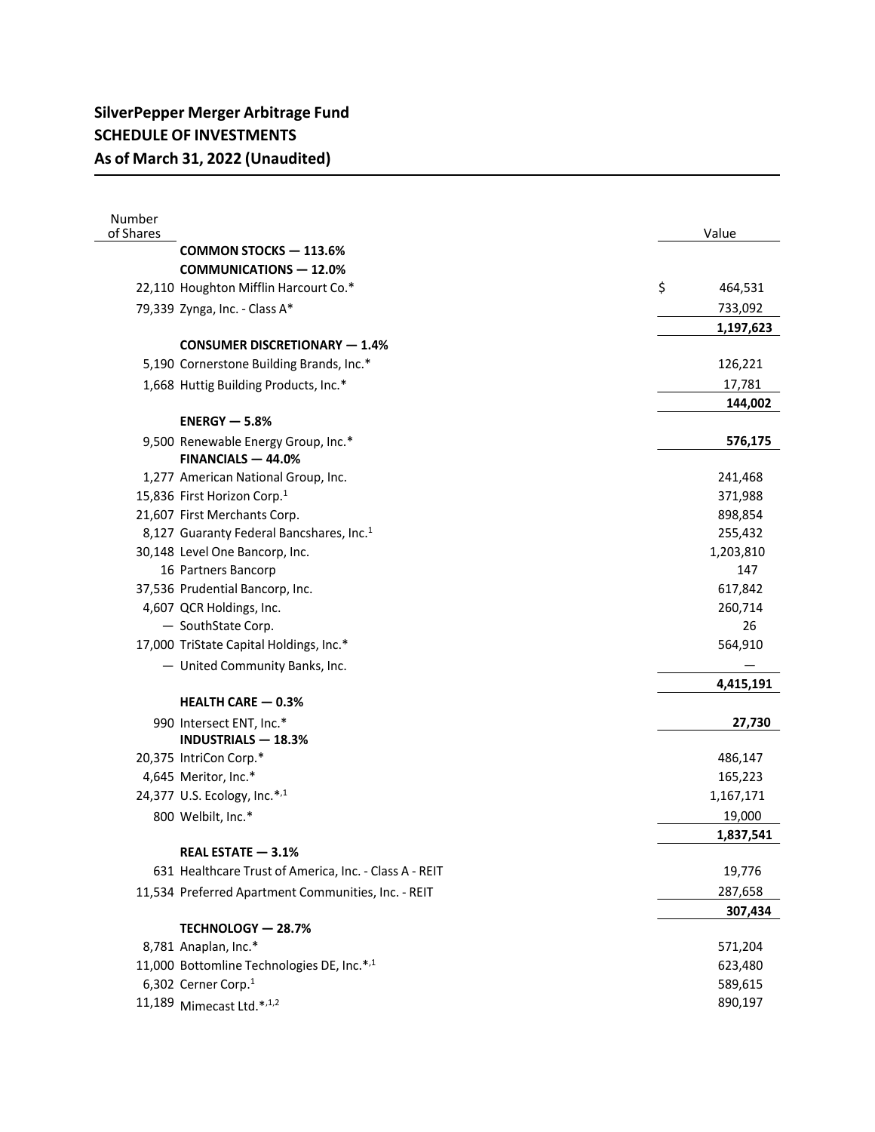| Number<br>of Shares |                                                        | Value         |
|---------------------|--------------------------------------------------------|---------------|
|                     | <b>COMMON STOCKS - 113.6%</b>                          |               |
|                     | <b>COMMUNICATIONS - 12.0%</b>                          |               |
|                     | 22,110 Houghton Mifflin Harcourt Co.*                  | \$<br>464,531 |
|                     | 79,339 Zynga, Inc. - Class A*                          | 733,092       |
|                     |                                                        | 1,197,623     |
|                     | <b>CONSUMER DISCRETIONARY - 1.4%</b>                   |               |
|                     | 5,190 Cornerstone Building Brands, Inc.*               | 126,221       |
|                     | 1,668 Huttig Building Products, Inc.*                  | 17,781        |
|                     |                                                        | 144,002       |
|                     | $ENERGY - 5.8%$                                        |               |
|                     | 9,500 Renewable Energy Group, Inc.*                    | 576,175       |
|                     | FINANCIALS - 44.0%                                     |               |
|                     | 1,277 American National Group, Inc.                    | 241,468       |
|                     | 15,836 First Horizon Corp.1                            | 371,988       |
|                     | 21,607 First Merchants Corp.                           | 898,854       |
|                     | 8,127 Guaranty Federal Bancshares, Inc. <sup>1</sup>   | 255,432       |
|                     | 30,148 Level One Bancorp, Inc.                         | 1,203,810     |
|                     | 16 Partners Bancorp                                    | 147           |
|                     | 37,536 Prudential Bancorp, Inc.                        | 617,842       |
|                     | 4,607 QCR Holdings, Inc.                               | 260,714       |
|                     | - SouthState Corp.                                     | 26            |
|                     | 17,000 TriState Capital Holdings, Inc.*                | 564,910       |
|                     | - United Community Banks, Inc.                         |               |
|                     |                                                        | 4,415,191     |
|                     | <b>HEALTH CARE - 0.3%</b>                              |               |
|                     | 990 Intersect ENT, Inc.*                               | 27,730        |
|                     | <b>INDUSTRIALS - 18.3%</b>                             |               |
|                     | 20,375 IntriCon Corp.*                                 | 486,147       |
|                     | 4,645 Meritor, Inc.*                                   | 165,223       |
|                     | 24,377 U.S. Ecology, Inc.*,1                           | 1,167,171     |
|                     | 800 Welbilt, Inc.*                                     | 19,000        |
|                     |                                                        | 1,837,541     |
|                     | REAL ESTATE - 3.1%                                     |               |
|                     | 631 Healthcare Trust of America, Inc. - Class A - REIT | 19,776        |
|                     | 11,534 Preferred Apartment Communities, Inc. - REIT    | 287,658       |
|                     |                                                        | 307,434       |
|                     | TECHNOLOGY - 28.7%                                     |               |
|                     | 8,781 Anaplan, Inc.*                                   | 571,204       |
|                     | 11,000 Bottomline Technologies DE, Inc.*,1             | 623,480       |
|                     | 6,302 Cerner Corp.1                                    | 589,615       |
|                     | 11,189 Mimecast Ltd.*,1,2                              | 890,197       |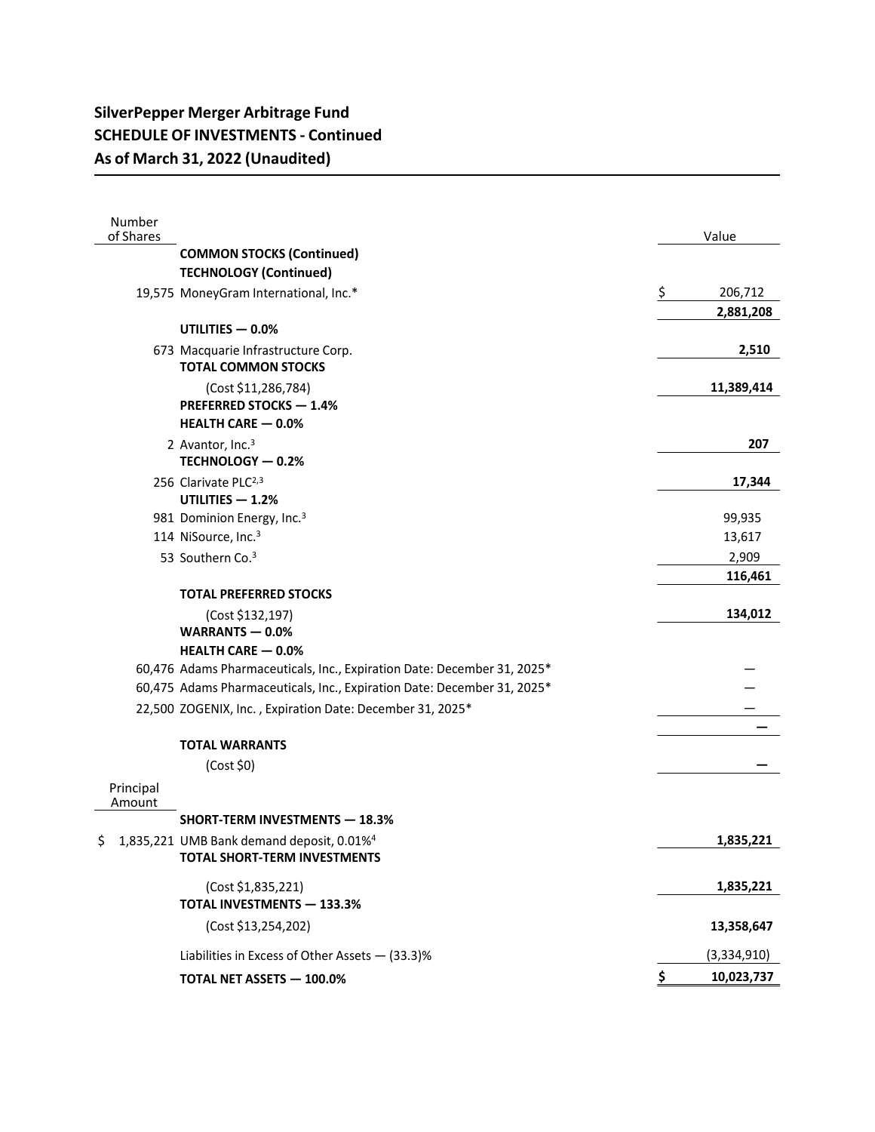## **SilverPepper Merger Arbitrage Fund SCHEDULE OF INVESTMENTS - Continued As of March 31, 2022 (Unaudited)**

| Number<br>of Shares |                                                                                              |               | Value       |
|---------------------|----------------------------------------------------------------------------------------------|---------------|-------------|
|                     | <b>COMMON STOCKS (Continued)</b>                                                             |               |             |
|                     | <b>TECHNOLOGY (Continued)</b>                                                                |               |             |
|                     | 19,575 MoneyGram International, Inc.*                                                        | $\frac{1}{2}$ | 206,712     |
|                     |                                                                                              |               | 2,881,208   |
|                     | UTILITIES - 0.0%                                                                             |               |             |
|                     | 673 Macquarie Infrastructure Corp.<br><b>TOTAL COMMON STOCKS</b>                             |               | 2,510       |
|                     | (Cost \$11,286,784)<br><b>PREFERRED STOCKS - 1.4%</b><br><b>HEALTH CARE - 0.0%</b>           |               | 11,389,414  |
|                     | 2 Avantor, Inc. <sup>3</sup>                                                                 |               | 207         |
|                     | TECHNOLOGY - 0.2%                                                                            |               |             |
|                     | 256 Clarivate PLC <sup>2,3</sup>                                                             |               | 17,344      |
|                     | UTILITIES - 1.2%                                                                             |               |             |
|                     | 981 Dominion Energy, Inc. <sup>3</sup>                                                       |               | 99,935      |
|                     | 114 NiSource, Inc. <sup>3</sup>                                                              |               | 13,617      |
|                     | 53 Southern Co. <sup>3</sup>                                                                 |               | 2,909       |
|                     |                                                                                              |               | 116,461     |
|                     | <b>TOTAL PREFERRED STOCKS</b>                                                                |               |             |
|                     | (Cost \$132,197)                                                                             |               | 134,012     |
|                     | WARRANTS $-0.0%$<br><b>HEALTH CARE - 0.0%</b>                                                |               |             |
|                     | 60,476 Adams Pharmaceuticals, Inc., Expiration Date: December 31, 2025*                      |               |             |
|                     | 60,475 Adams Pharmaceuticals, Inc., Expiration Date: December 31, 2025*                      |               |             |
|                     | 22,500 ZOGENIX, Inc., Expiration Date: December 31, 2025*                                    |               |             |
|                     |                                                                                              |               |             |
|                     | <b>TOTAL WARRANTS</b>                                                                        |               |             |
|                     | (Cost \$0)                                                                                   |               |             |
| Principal<br>Amount |                                                                                              |               |             |
|                     | <b>SHORT-TERM INVESTMENTS - 18.3%</b>                                                        |               |             |
| \$                  | 1,835,221 UMB Bank demand deposit, 0.01% <sup>4</sup><br><b>TOTAL SHORT-TERM INVESTMENTS</b> |               | 1,835,221   |
|                     | (Cost \$1,835,221)<br><b>TOTAL INVESTMENTS - 133.3%</b>                                      |               | 1,835,221   |
|                     | (Cost \$13,254,202)                                                                          |               | 13,358,647  |
|                     | Liabilities in Excess of Other Assets - (33.3)%                                              |               | (3,334,910) |
|                     | TOTAL NET ASSETS - 100.0%                                                                    | \$            | 10,023,737  |